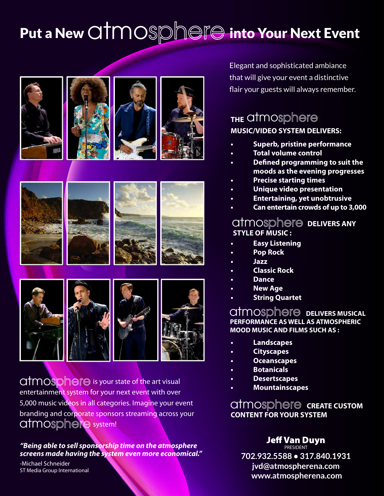## Put a New  $\text{QTMOSD} \text{DCP}$  into Your Next Event















atmosphere system! **atmosphere** is your state of the art visual entertainment system for your next event with over 5,000 music videos in all categories. Imagine your event branding and corporate sponsors streaming across your

*"Being able to sell sponsorship time on the atmosphere screens made having the system even more economical."*

-Michael Schneider ST Media Group International

Elegant and sophisticated ambiance that will give your event a distinctive flair your guests will always remember.

#### **THE**  atmo **MUSIC/VIDEO SYSTEM DELIVERS:**

- **• Superb, pristine performance**
- **• Total volume control**
- **• Defined programming to suit the moods as the evening progresses**
	- **• Precise starting times**
- **• Unique video presentation**
- **• Entertaining, yet unobtrusive**
- **• Can entertain crowds of up to 3,000**

#### atmosphere **DELIVERS ANY STYLE OF MUSIC :**

- **• Easy Listening**
- **• Pop Rock**
- **• Jazz**
- **• Classic Rock**
- **• Dance**
- **• New Age**
- **• String Quartet**

#### $atmosph@f@$  delivers musical **PERFORMANCE AS WELL AS ATMOSPHERIC MOOD MUSIC AND FILMS SUCH AS :**

- **• Landscapes**
- **• Cityscapes**
- **• Oceanscapes**
- **• Botanicals**
- **• Desertscapes**
- **• Mountainscapes**

**atmosphere CREATE CUSTOM CONTENT FOR YOUR SYSTEM**

#### Jeff Van Duyn PRESIDENT

**702.932.5588 • 317.840.1931 jvd@atmospherena.com www.atmospherena.com**